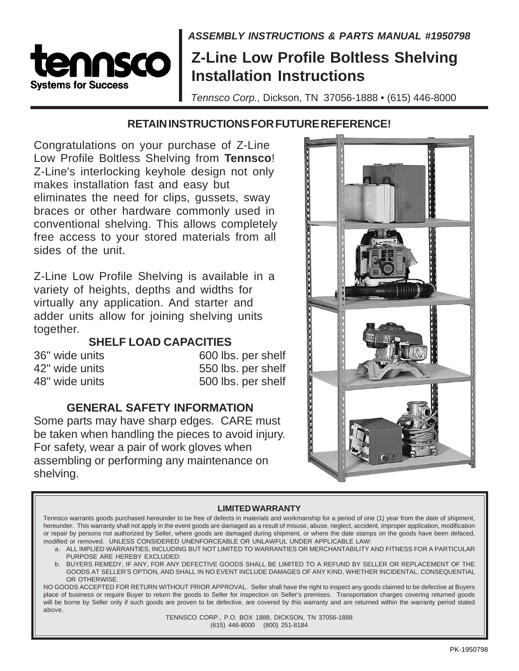### **ASSEMBLY INSTRUCTIONS & PARTS MANUAL #1950798**

## **Z-Line Low Profile Boltless Shelving Installation Instructions**

Tennsco Corp., Dickson, TN 37056-1888 • (615) 446-8000

#### **RETAIN INSTRUCTIONS FOR FUTURE REFERENCE!**

Congratulations on your purchase of Z-Line Low Profile Boltless Shelving from **Tennsco**! Z-Line's interlocking keyhole design not only makes installation fast and easy but eliminates the need for clips, gussets, sway braces or other hardware commonly used in conventional shelving. This allows completely free access to your stored materials from all sides of the unit.

SCO

**Svstems for Success** 

Z-Line Low Profile Shelving is available in a variety of heights, depths and widths for virtually any application. And starter and adder units allow for joining shelving units together.

### **SHELF LOAD CAPACITIES**

36" wide units 600 lbs. per shelf 42" wide units 550 lbs. per shelf 48" wide units 500 lbs. per shelf

#### **GENERAL SAFETY INFORMATION**

Some parts may have sharp edges. CARE must be taken when handling the pieces to avoid injury. For safety, wear a pair of work gloves when assembling or performing any maintenance on shelving.



#### **LIMITED WARRANTY**

Tennsco warrants goods purchased hereunder to be free of defects in materials and workmanship for a period of one (1) year from the date of shipment, hereunder. This warranty shall not apply in the event goods are damaged as a result of misuse, abuse, neglect, accident, improper application, modification or repair by persons not authorized by Seller, where goods are damaged during shipment, or where the date stamps on the goods have been defaced, modified or removed. UNLESS CONSIDERED UNENFORCEABLE OR UNLAWFUL UNDER APPLICABLE LAW:

- a. ALL IMPLIED WARRANTIES, INCLUDING BUT NOT LIMITED TO WARRANTIES OR MERCHANTABILITY AND FITNESS FOR A PARTICULAR PURPOSE ARE HEREBY EXCLUDED:
- b. BUYERS REMEDY, IF ANY, FOR ANY DEFECTIVE GOODS SHALL BE LIMITED TO A REFUND BY SELLER OR REPLACEMENT OF THE GOODS AT SELLER'S OPTION, AND SHALL IN NO EVENT INCLUDE DAMAGES OF ANY KIND, WHETHER INCIDENTAL, CONSEQUENTIAL OR OTHERWISE

NO GOODS ACCEPTED FOR RETURN WITHOUT PRIOR APPROVAL. Seller shall have the right to inspect any goods claimed to be defective at Buyers place of business or require Buyer to return the goods to Seller for inspection on Seller's premises. Transportation charges covering returned goods will be borne by Seller only if such goods are proven to be defective, are covered by this warranty and are returned within the warranty period stated above.

TENNSCO CORP., P.O. BOX 1888, DICKSON, TN 37056-1888 (615) 446-8000 (800) 251-8184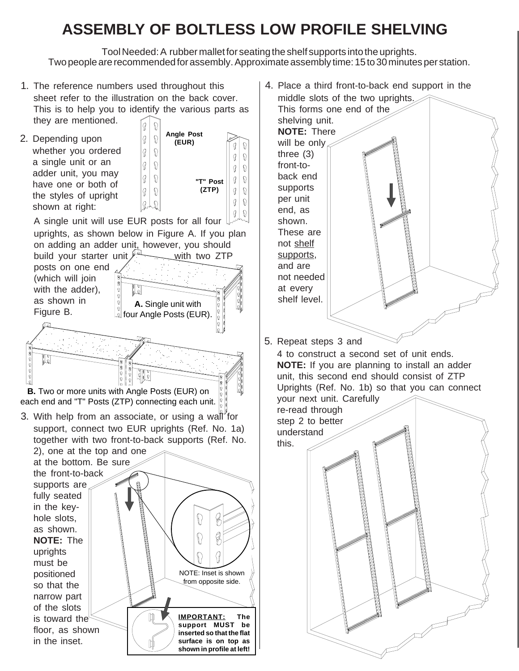# **ASSEMBLY OF BOLTLESS LOW PROFILE SHELVING**

Tool Needed: A rubber mallet for seating the shelf supports into the uprights. Two people are recommended for assembly. Approximate assembly time: 15 to 30 minutes per station.

1. The reference numbers used throughout this sheet refer to the illustration on the back cover. This is to help you to identify the various parts as they are mentioned.  $\Omega$ 

> |g O

**Angle Post (EUR)**

2. Depending upon whether you ordered a single unit or an adder unit, you may have one or both of the styles of upright shown at right:

> uprights must be positioned so that the narrow part of the slots is toward the floor, as shown in the inset.

 $\frac{1}{2}$ 



NOTE: Inset is shown from opposite side.

**IMPORTANT: The support MUST be inserted so that the flat surface is on top as shown in profile at left!** 4. Place a third front-to-back end support in the middle slots of the two uprights.

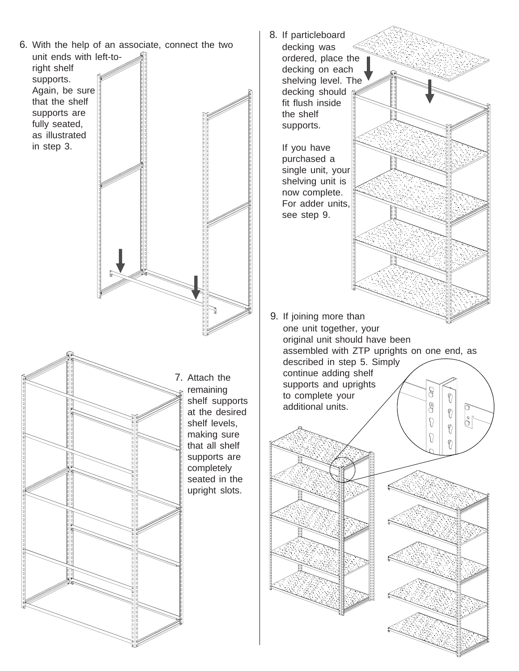